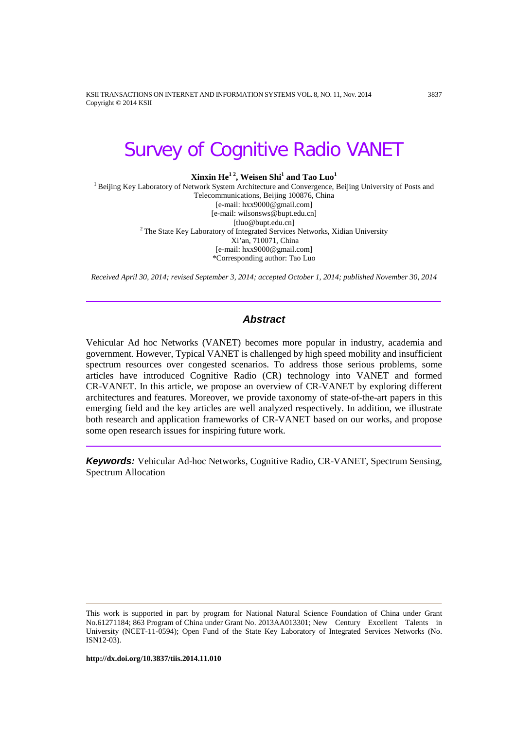KSII TRANSACTIONS ON INTERNET AND INFORMATION SYSTEMS VOL. 8, NO. 11, Nov. 2014 3837 Copyright © 2014 KSII

# Survey of Cognitive Radio VANET

**Xinxin He<sup>12</sup>, Weisen Shi<sup>1</sup> and Tao Luo<sup>1</sup>** 

<sup>1</sup> Beijing Key Laboratory of Network System Architecture and Convergence, Beijing University of Posts and Telecommunications, Beijing 100876, China [e-mail: hxx9000@gmail.com] [e-mail: wilsonsws@bupt.edu.cn]  $2$  The State Key Laboratory of Integrated Services Networks, Xidian University Xi'an, 710071, China [e-mail: hxx9000@gmail.com] \*Corresponding author: Tao Luo

*Received April 30, 2014; revised September 3, 2014; accepted October 1, 2014; published November 30, 2014*

# *Abstract*

Vehicular Ad hoc Networks (VANET) becomes more popular in industry, academia and government. However, Typical VANET is challenged by high speed mobility and insufficient spectrum resources over congested scenarios. To address those serious problems, some articles have introduced Cognitive Radio (CR) technology into VANET and formed CR-VANET. In this article, we propose an overview of CR-VANET by exploring different architectures and features. Moreover, we provide taxonomy of state-of-the-art papers in this emerging field and the key articles are well analyzed respectively. In addition, we illustrate both research and application frameworks of CR-VANET based on our works, and propose some open research issues for inspiring future work.

*Keywords:* Vehicular Ad-hoc Networks, Cognitive Radio, CR-VANET, Spectrum Sensing, Spectrum Allocation

**http://dx.doi.org/10.3837/tiis.2014.11.010**

This work is supported in part by program for National Natural Science Foundation of China under Grant No.61271184; 863 Program of China under Grant No. 2013AA013301; New Century Excellent Talents in University (NCET-11-0594); Open Fund of the State Key Laboratory of Integrated Services Networks (No. ISN12-03).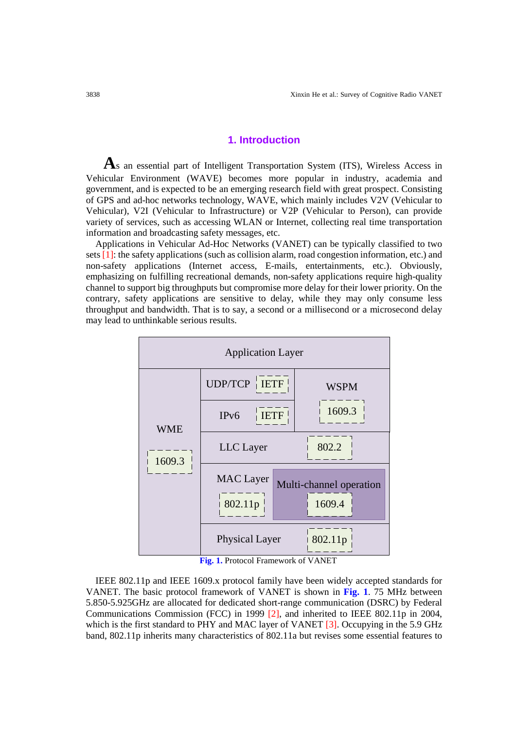## **1. Introduction**

**A**s an essential part of Intelligent Transportation System (ITS), Wireless Access in Vehicular Environment (WAVE) becomes more popular in industry, academia and government, and is expected to be an emerging research field with great prospect. Consisting of GPS and ad-hoc networks technology, WAVE, which mainly includes V2V (Vehicular to Vehicular), V2I (Vehicular to Infrastructure) or V2P (Vehicular to Person), can provide variety of services, such as accessing WLAN or Internet, collecting real time transportation information and broadcasting safety messages, etc.

Applications in Vehicular Ad-Hoc Networks (VANET) can be typically classified to two sets [1]: the safety applications (such as collision alarm, road congestion information, etc.) and non-safety applications (Internet access, E-mails, entertainments, etc.). Obviously, emphasizing on fulfilling recreational demands, non-safety applications require high-quality channel to support big throughputs but compromise more delay for their lower priority. On the contrary, safety applications are sensitive to delay, while they may only consume less throughput and bandwidth. That is to say, a second or a millisecond or a microsecond delay may lead to unthinkable serious results.



**Fig. 1.** Protocol Framework of VANET

IEEE 802.11p and IEEE 1609.x protocol family have been widely accepted standards for VANET. The basic protocol framework of VANET is shown in **Fig. 1**. 75 MHz between 5.850-5.925GHz are allocated for dedicated short-range communication (DSRC) by Federal Communications Commission (FCC) in 1999 [2], and inherited to IEEE 802.11p in 2004, which is the first standard to PHY and MAC layer of VANET [3]. Occupying in the 5.9 GHz band, 802.11p inherits many characteristics of 802.11a but revises some essential features to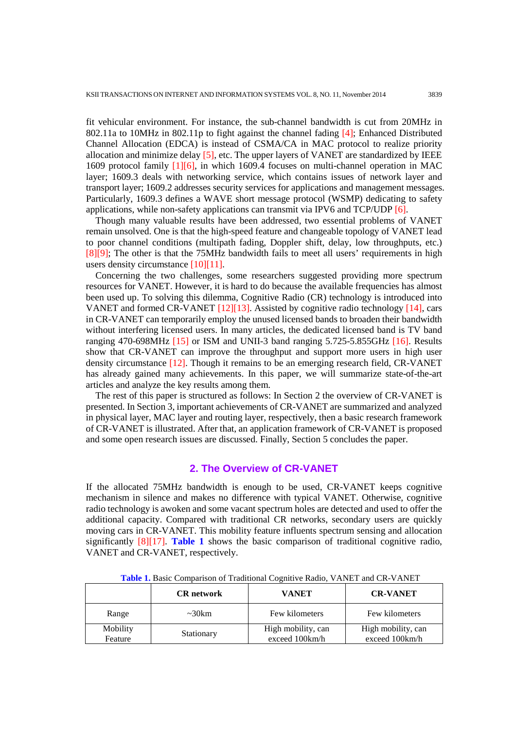fit vehicular environment. For instance, the sub-channel bandwidth is cut from 20MHz in 802.11a to 10MHz in 802.11p to fight against the channel fading [4]; Enhanced Distributed Channel Allocation (EDCA) is instead of CSMA/CA in MAC protocol to realize priority allocation and minimize delay  $[5]$ , etc. The upper layers of VANET are standardized by IEEE 1609 protocol family [1][6], in which 1609.4 focuses on multi-channel operation in MAC layer; 1609.3 deals with networking service, which contains issues of network layer and transport layer; 1609.2 addresses security services for applications and management messages. Particularly, 1609.3 defines a WAVE short message protocol (WSMP) dedicating to safety applications, while non-safety applications can transmit via IPV6 and TCP/UDP [6].

Though many valuable results have been addressed, two essential problems of VANET remain unsolved. One is that the high-speed feature and changeable topology of VANET lead to poor channel conditions (multipath fading, Doppler shift, delay, low throughputs, etc.) [8][9]; The other is that the 75MHz bandwidth fails to meet all users' requirements in high users density circumstance [10][11].

Concerning the two challenges, some researchers suggested providing more spectrum resources for VANET. However, it is hard to do because the available frequencies has almost been used up. To solving this dilemma, Cognitive Radio (CR) technology is introduced into VANET and formed CR-VANET [12][13]. Assisted by cognitive radio technology [14], cars in CR-VANET can temporarily employ the unused licensed bands to broaden their bandwidth without interfering licensed users. In many articles, the dedicated licensed band is TV band ranging 470-698MHz [15] or ISM and UNII-3 band ranging 5.725-5.855GHz [16]. Results show that CR-VANET can improve the throughput and support more users in high user density circumstance [12]. Though it remains to be an emerging research field, CR-VANET has already gained many achievements. In this paper, we will summarize state-of-the-art articles and analyze the key results among them.

The rest of this paper is structured as follows: In Section 2 the overview of CR-VANET is presented. In Section 3, important achievements of CR-VANET are summarized and analyzed in physical layer, MAC layer and routing layer, respectively, then a basic research framework of CR-VANET is illustrated. After that, an application framework of CR-VANET is proposed and some open research issues are discussed. Finally, Section 5 concludes the paper.

# **2. The Overview of CR-VANET**

If the allocated 75MHz bandwidth is enough to be used, CR-VANET keeps cognitive mechanism in silence and makes no difference with typical VANET. Otherwise, cognitive radio technology is awoken and some vacant spectrum holes are detected and used to offer the additional capacity. Compared with traditional CR networks, secondary users are quickly moving cars in CR-VANET. This mobility feature influents spectrum sensing and allocation significantly [8][17]. **Table 1** shows the basic comparison of traditional cognitive radio, VANET and CR-VANET, respectively.

|                     | <b>CR</b> network | <b>VANET</b>                         | <b>CR-VANET</b>                      |
|---------------------|-------------------|--------------------------------------|--------------------------------------|
| Range               | $\sim 30$ km      | Few kilometers                       | Few kilometers                       |
| Mobility<br>Feature | Stationary        | High mobility, can<br>exceed 100km/h | High mobility, can<br>exceed 100km/h |

**Table 1.** Basic Comparison of Traditional Cognitive Radio, VANET and CR-VANET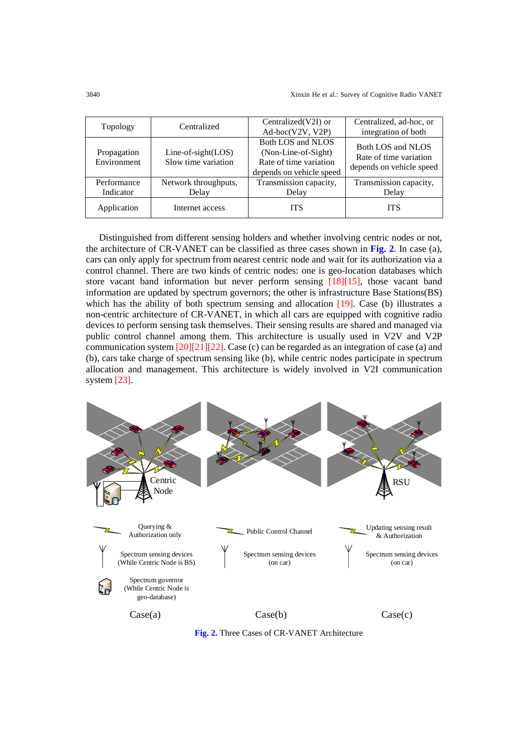| Topology                   | Centralized                                 | Centralized(V2I) or<br>Ad-hoc(V2V, V2P)                                                        | Centralized, ad-hoc, or<br>integration of both                          |
|----------------------------|---------------------------------------------|------------------------------------------------------------------------------------------------|-------------------------------------------------------------------------|
| Propagation<br>Environment | $Line-of-sight(LOS)$<br>Slow time variation | Both LOS and NLOS<br>(Non-Line-of-Sight)<br>Rate of time variation<br>depends on vehicle speed | Both LOS and NLOS<br>Rate of time variation<br>depends on vehicle speed |
| Performance<br>Indicator   | Network throughputs,<br>Delay               | Transmission capacity,<br>Delay                                                                | Transmission capacity,<br>Delay                                         |
| Application                | Internet access                             | <b>ITS</b>                                                                                     | <b>ITS</b>                                                              |

Distinguished from different sensing holders and whether involving centric nodes or not, the architecture of CR-VANET can be classified as three cases shown in **Fig. 2**. In case (a), cars can only apply for spectrum from nearest centric node and wait for its authorization via a control channel. There are two kinds of centric nodes: one is geo-location databases which store vacant band information but never perform sensing [18][15], those vacant band information are updated by spectrum governors; the other is infrastructure Base Stations(BS) which has the ability of both spectrum sensing and allocation [19]. Case (b) illustrates a non-centric architecture of CR-VANET, in which all cars are equipped with cognitive radio devices to perform sensing task themselves. Their sensing results are shared and managed via public control channel among them. This architecture is usually used in V2V and V2P communication system  $[20][21][22]$ . Case (c) can be regarded as an integration of case (a) and (b), cars take charge of spectrum sensing like (b), while centric nodes participate in spectrum allocation and management. This architecture is widely involved in V2I communication system [23].



**Fig. 2.** Three Cases of CR-VANET Architecture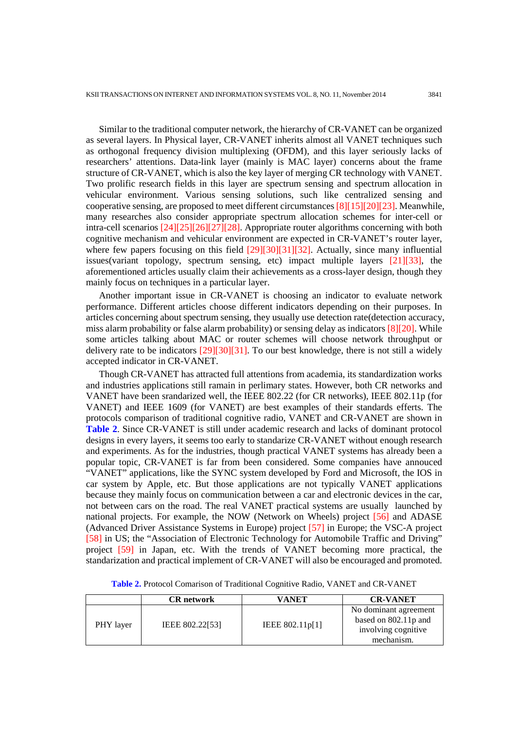Similar to the traditional computer network, the hierarchy of CR-VANET can be organized as several layers. In Physical layer, CR-VANET inherits almost all VANET techniques such as orthogonal frequency division multiplexing (OFDM), and this layer seriously lacks of researchers' attentions. Data-link layer (mainly is MAC layer) concerns about the frame structure of CR-VANET, which is also the key layer of merging CR technology with VANET. Two prolific research fields in this layer are spectrum sensing and spectrum allocation in vehicular environment. Various sensing solutions, such like centralized sensing and cooperative sensing, are proposed to meet different circumstances [8][15][20][23]. Meanwhile, many researches also consider appropriate spectrum allocation schemes for inter-cell or intra-cell scenarios [24][25][26][27][28]. Appropriate router algorithms concerning with both cognitive mechanism and vehicular environment are expected in CR-VANET's router layer, where few papers focusing on this field [29][30][31][32]. Actually, since many influential issues(variant topology, spectrum sensing, etc) impact multiple layers [21][33], the aforementioned articles usually claim their achievements as a cross-layer design, though they mainly focus on techniques in a particular layer.

Another important issue in CR-VANET is choosing an indicator to evaluate network performance. Different articles choose different indicators depending on their purposes. In articles concerning about spectrum sensing, they usually use detection rate(detection accuracy, miss alarm probability or false alarm probability) or sensing delay as indicators [8][20]. While some articles talking about MAC or router schemes will choose network throughput or delivery rate to be indicators [29][30][31]. To our best knowledge, there is not still a widely accepted indicator in CR-VANET.

Though CR-VANET has attracted full attentions from academia, its standardization works and industries applications still ramain in perlimary states. However, both CR networks and VANET have been srandarized well, the IEEE 802.22 (for CR networks), IEEE 802.11p (for VANET) and IEEE 1609 (for VANET) are best examples of their standards efferts. The protocols comparison of traditional cognitive radio, VANET and CR-VANET are shown in **Table 2**. Since CR-VANET is still under academic research and lacks of dominant protocol designs in every layers, it seems too early to standarize CR-VANET without enough research and experiments. As for the industries, though practical VANET systems has already been a popular topic, CR-VANET is far from been considered. Some companies have annouced "VANET" applications, like the SYNC system developed by Ford and Microsoft, the IOS in car system by Apple, etc. But those applications are not typically VANET applications because they mainly focus on communication between a car and electronic devices in the car, not between cars on the road. The real VANET practical systems are usually launched by national projects. For example, the NOW (Network on Wheels) project [56] and ADASE (Advanced Driver Assistance Systems in Europe) project [57] in Europe; the VSC-A project [58] in US; the "Association of Electronic Technology for Automobile Traffic and Driving" project [59] in Japan, etc. With the trends of VANET becoming more practical, the standarization and practical implement of CR-VANET will also be encouraged and promoted.

|           | <b>CR</b> network | VANET             | <b>CR-VANET</b>                                                                    |
|-----------|-------------------|-------------------|------------------------------------------------------------------------------------|
| PHY layer | IEEE 802.22[53]   | IEEE $802.11p[1]$ | No dominant agreement<br>based on 802.11p and<br>involving cognitive<br>mechanism. |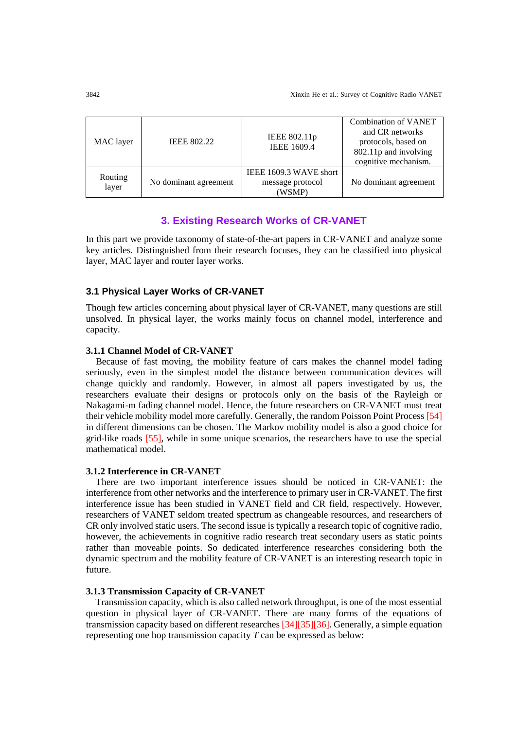| MAC layer        | <b>IEEE 802.22</b>    | IEEE 802.11p<br><b>IEEE 1609.4</b>                   | <b>Combination of VANET</b><br>and CR networks<br>protocols, based on<br>802.11p and involving<br>cognitive mechanism. |
|------------------|-----------------------|------------------------------------------------------|------------------------------------------------------------------------------------------------------------------------|
| Routing<br>layer | No dominant agreement | IEEE 1609.3 WAVE short<br>message protocol<br>(WSMP) | No dominant agreement                                                                                                  |

# **3. Existing Research Works of CR-VANET**

In this part we provide taxonomy of state-of-the-art papers in CR-VANET and analyze some key articles. Distinguished from their research focuses, they can be classified into physical layer, MAC layer and router layer works.

## **3.1 Physical Layer Works of CR-VANET**

Though few articles concerning about physical layer of CR-VANET, many questions are still unsolved. In physical layer, the works mainly focus on channel model, interference and capacity.

## **3.1.1 Channel Model of CR-VANET**

Because of fast moving, the mobility feature of cars makes the channel model fading seriously, even in the simplest model the distance between communication devices will change quickly and randomly. However, in almost all papers investigated by us, the researchers evaluate their designs or protocols only on the basis of the Rayleigh or Nakagami-m fading channel model. Hence, the future researchers on CR-VANET must treat their vehicle mobility model more carefully. Generally, the random Poisson Point Process [54] in different dimensions can be chosen. The Markov mobility model is also a good choice for grid-like roads [55], while in some unique scenarios, the researchers have to use the special mathematical model.

# **3.1.2 Interference in CR-VANET**

There are two important interference issues should be noticed in CR-VANET: the interference from other networks and the interference to primary user in CR-VANET. The first interference issue has been studied in VANET field and CR field, respectively. However, researchers of VANET seldom treated spectrum as changeable resources, and researchers of CR only involved static users. The second issue is typically a research topic of cognitive radio, however, the achievements in cognitive radio research treat secondary users as static points rather than moveable points. So dedicated interference researches considering both the dynamic spectrum and the mobility feature of CR-VANET is an interesting research topic in future.

## **3.1.3 Transmission Capacity of CR-VANET**

 Transmission capacity, which is also called network throughput, is one of the most essential question in physical layer of CR-VANET. There are many forms of the equations of transmission capacity based on different researches [34][35][36]. Generally, a simple equation representing one hop transmission capacity *T* can be expressed as below: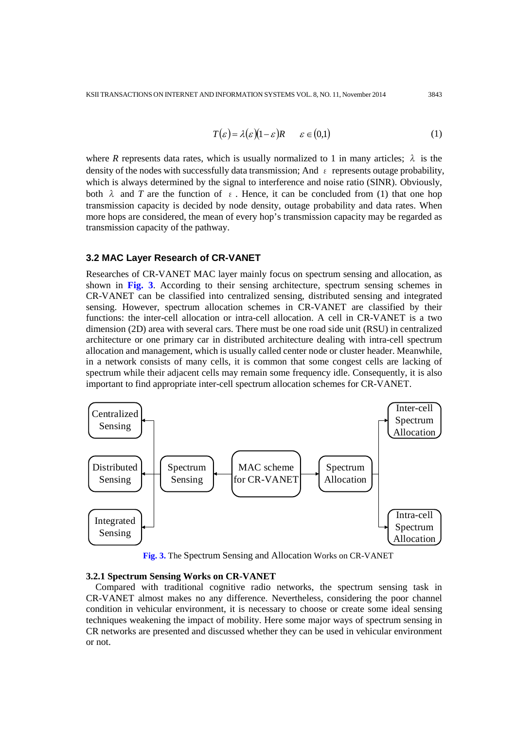$$
T(\varepsilon) = \lambda(\varepsilon)(1 - \varepsilon)R \qquad \varepsilon \in (0,1)
$$
 (1)

where *R* represents data rates, which is usually normalized to 1 in many articles;  $\lambda$  is the density of the nodes with successfully data transmission; And  $\epsilon$  represents outage probability, which is always determined by the signal to interference and noise ratio (SINR). Obviously, both  $\lambda$  and *T* are the function of  $\epsilon$ . Hence, it can be concluded from (1) that one hop transmission capacity is decided by node density, outage probability and data rates. When more hops are considered, the mean of every hop's transmission capacity may be regarded as transmission capacity of the pathway.

#### **3.2 MAC Layer Research of CR-VANET**

Researches of CR-VANET MAC layer mainly focus on spectrum sensing and allocation, as shown in **Fig. 3**. According to their sensing architecture, spectrum sensing schemes in CR-VANET can be classified into centralized sensing, distributed sensing and integrated sensing. However, spectrum allocation schemes in CR-VANET are classified by their functions: the inter-cell allocation or intra-cell allocation. A cell in CR-VANET is a two dimension (2D) area with several cars. There must be one road side unit (RSU) in centralized architecture or one primary car in distributed architecture dealing with intra-cell spectrum allocation and management, which is usually called center node or cluster header. Meanwhile, in a network consists of many cells, it is common that some congest cells are lacking of spectrum while their adjacent cells may remain some frequency idle. Consequently, it is also important to find appropriate inter-cell spectrum allocation schemes for CR-VANET.



**Fig. 3.** The Spectrum Sensing and Allocation Works on CR-VANET

#### **3.2.1 Spectrum Sensing Works on CR-VANET**

Compared with traditional cognitive radio networks, the spectrum sensing task in CR-VANET almost makes no any difference. Nevertheless, considering the poor channel condition in vehicular environment, it is necessary to choose or create some ideal sensing techniques weakening the impact of mobility. Here some major ways of spectrum sensing in CR networks are presented and discussed whether they can be used in vehicular environment or not.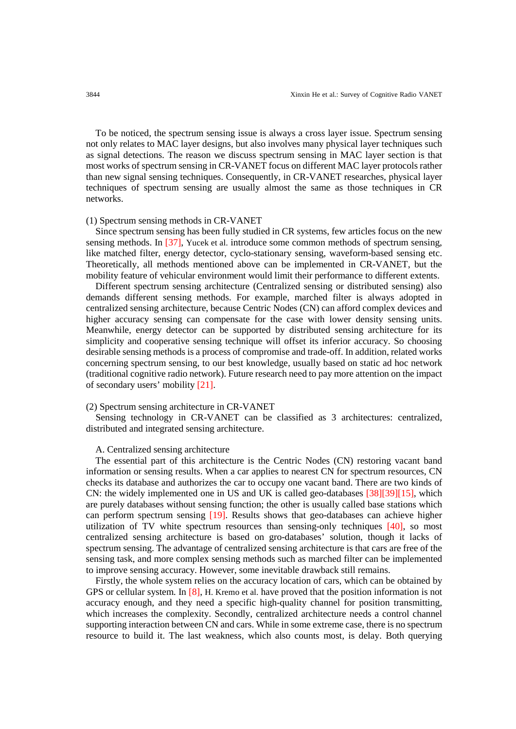To be noticed, the spectrum sensing issue is always a cross layer issue. Spectrum sensing not only relates to MAC layer designs, but also involves many physical layer techniques such as signal detections. The reason we discuss spectrum sensing in MAC layer section is that most works of spectrum sensing in CR-VANET focus on different MAC layer protocols rather than new signal sensing techniques. Consequently, in CR-VANET researches, physical layer techniques of spectrum sensing are usually almost the same as those techniques in CR networks.

#### (1) Spectrum sensing methods in CR-VANET

Since spectrum sensing has been fully studied in CR systems, few articles focus on the new sensing methods. In [37], Yucek et al. introduce some common methods of spectrum sensing, like matched filter, energy detector, cyclo-stationary sensing, waveform-based sensing etc. Theoretically, all methods mentioned above can be implemented in CR-VANET, but the mobility feature of vehicular environment would limit their performance to different extents.

Different spectrum sensing architecture (Centralized sensing or distributed sensing) also demands different sensing methods. For example, marched filter is always adopted in centralized sensing architecture, because Centric Nodes (CN) can afford complex devices and higher accuracy sensing can compensate for the case with lower density sensing units. Meanwhile, energy detector can be supported by distributed sensing architecture for its simplicity and cooperative sensing technique will offset its inferior accuracy. So choosing desirable sensing methods is a process of compromise and trade-off. In addition, related works concerning spectrum sensing, to our best knowledge, usually based on static ad hoc network (traditional cognitive radio network). Future research need to pay more attention on the impact of secondary users' mobility [21].

## (2) Spectrum sensing architecture in CR-VANET

Sensing technology in CR-VANET can be classified as 3 architectures: centralized, distributed and integrated sensing architecture.

#### A. Centralized sensing architecture

The essential part of this architecture is the Centric Nodes (CN) restoring vacant band information or sensing results. When a car applies to nearest CN for spectrum resources, CN checks its database and authorizes the car to occupy one vacant band. There are two kinds of CN: the widely implemented one in US and UK is called geo-databases [38][39][15], which are purely databases without sensing function; the other is usually called base stations which can perform spectrum sensing [19]. Results shows that geo-databases can achieve higher utilization of TV white spectrum resources than sensing-only techniques [40], so most centralized sensing architecture is based on gro-databases' solution, though it lacks of spectrum sensing. The advantage of centralized sensing architecture is that cars are free of the sensing task, and more complex sensing methods such as marched filter can be implemented to improve sensing accuracy. However, some inevitable drawback still remains.

Firstly, the whole system relies on the accuracy location of cars, which can be obtained by GPS or cellular system. In [8], H. Kremo et al. have proved that the position information is not accuracy enough, and they need a specific high-quality channel for position transmitting, which increases the complexity. Secondly, centralized architecture needs a control channel supporting interaction between CN and cars. While in some extreme case, there is no spectrum resource to build it. The last weakness, which also counts most, is delay. Both querying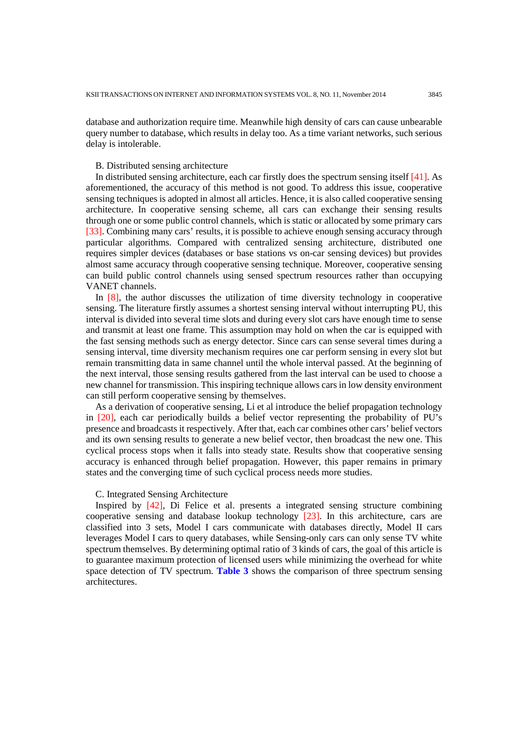database and authorization require time. Meanwhile high density of cars can cause unbearable query number to database, which results in delay too. As a time variant networks, such serious delay is intolerable.

## B. Distributed sensing architecture

In distributed sensing architecture, each car firstly does the spectrum sensing itself [41]. As aforementioned, the accuracy of this method is not good. To address this issue, cooperative sensing techniques is adopted in almost all articles. Hence, it is also called cooperative sensing architecture. In cooperative sensing scheme, all cars can exchange their sensing results through one or some public control channels, which is static or allocated by some primary cars [33]. Combining many cars' results, it is possible to achieve enough sensing accuracy through particular algorithms. Compared with centralized sensing architecture, distributed one requires simpler devices (databases or base stations vs on-car sensing devices) but provides almost same accuracy through cooperative sensing technique. Moreover, cooperative sensing can build public control channels using sensed spectrum resources rather than occupying VANET channels.

In [8], the author discusses the utilization of time diversity technology in cooperative sensing. The literature firstly assumes a shortest sensing interval without interrupting PU, this interval is divided into several time slots and during every slot cars have enough time to sense and transmit at least one frame. This assumption may hold on when the car is equipped with the fast sensing methods such as energy detector. Since cars can sense several times during a sensing interval, time diversity mechanism requires one car perform sensing in every slot but remain transmitting data in same channel until the whole interval passed. At the beginning of the next interval, those sensing results gathered from the last interval can be used to choose a new channel for transmission. This inspiring technique allows cars in low density environment can still perform cooperative sensing by themselves.

As a derivation of cooperative sensing, Li et al introduce the belief propagation technology in [20], each car periodically builds a belief vector representing the probability of PU's presence and broadcasts it respectively. After that, each car combines other cars' belief vectors and its own sensing results to generate a new belief vector, then broadcast the new one. This cyclical process stops when it falls into steady state. Results show that cooperative sensing accuracy is enhanced through belief propagation. However, this paper remains in primary states and the converging time of such cyclical process needs more studies.

## C. Integrated Sensing Architecture

Inspired by [42], Di Felice et al. presents a integrated sensing structure combining cooperative sensing and database lookup technology [23]. In this architecture, cars are classified into 3 sets, Model I cars communicate with databases directly, Model II cars leverages Model I cars to query databases, while Sensing-only cars can only sense TV white spectrum themselves. By determining optimal ratio of 3 kinds of cars, the goal of this article is to guarantee maximum protection of licensed users while minimizing the overhead for white space detection of TV spectrum. **Table 3** shows the comparison of three spectrum sensing architectures.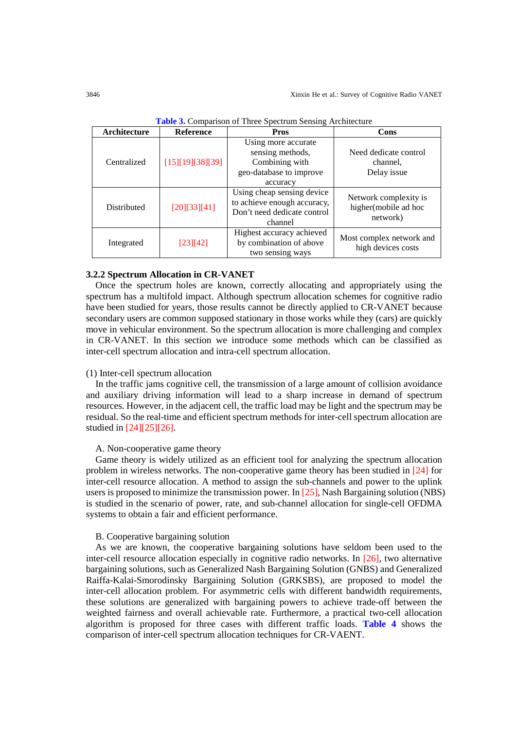| Architecture | <b>Reference</b> | <b>Pros</b>                                                                                         | Cons                                                      |
|--------------|------------------|-----------------------------------------------------------------------------------------------------|-----------------------------------------------------------|
| Centralized  | [15][19][38][39] | Using more accurate<br>sensing methods,<br>Combining with<br>geo-database to improve<br>accuracy    | Need dedicate control<br>channel,<br>Delay issue          |
| Distributed  | [20][33][41]     | Using cheap sensing device<br>to achieve enough accuracy,<br>Don't need dedicate control<br>channel | Network complexity is<br>higher(mobile ad hoc<br>network) |
| Integrated   | [23][42]         | Highest accuracy achieved<br>by combination of above<br>two sensing ways                            | Most complex network and<br>high devices costs            |

**Table 3.** Comparison of Three Spectrum Sensing Architecture

#### **3.2.2 Spectrum Allocation in CR-VANET**

Once the spectrum holes are known, correctly allocating and appropriately using the spectrum has a multifold impact. Although spectrum allocation schemes for cognitive radio have been studied for years, those results cannot be directly applied to CR-VANET because secondary users are common supposed stationary in those works while they (cars) are quickly move in vehicular environment. So the spectrum allocation is more challenging and complex in CR-VANET. In this section we introduce some methods which can be classified as inter-cell spectrum allocation and intra-cell spectrum allocation.

## (1) Inter-cell spectrum allocation

In the traffic jams cognitive cell, the transmission of a large amount of collision avoidance and auxiliary driving information will lead to a sharp increase in demand of spectrum resources. However, in the adjacent cell, the traffic load may be light and the spectrum may be residual. So the real-time and efficient spectrum methods for inter-cell spectrum allocation are studied in [24][25][26].

## A. Non-cooperative game theory

Game theory is widely utilized as an efficient tool for analyzing the spectrum allocation problem in wireless networks. The non-cooperative game theory has been studied in [24] for inter-cell resource allocation. A method to assign the sub-channels and power to the uplink users is proposed to minimize the transmission power. In [25], Nash Bargaining solution (NBS) is studied in the scenario of power, rate, and sub-channel allocation for single-cell OFDMA systems to obtain a fair and efficient performance.

#### B. Cooperative bargaining solution

As we are known, the cooperative bargaining solutions have seldom been used to the inter-cell resource allocation especially in cognitive radio networks. In [26], two alternative bargaining solutions, such as Generalized Nash Bargaining Solution (GNBS) and Generalized Raiffa-Kalai-Smorodinsky Bargaining Solution (GRKSBS), are proposed to model the inter-cell allocation problem. For asymmetric cells with different bandwidth requirements, these solutions are generalized with bargaining powers to achieve trade-off between the weighted fairness and overall achievable rate. Furthermore, a practical two-cell allocation algorithm is proposed for three cases with different traffic loads. **Table 4** shows the comparison of inter-cell spectrum allocation techniques for CR-VAENT.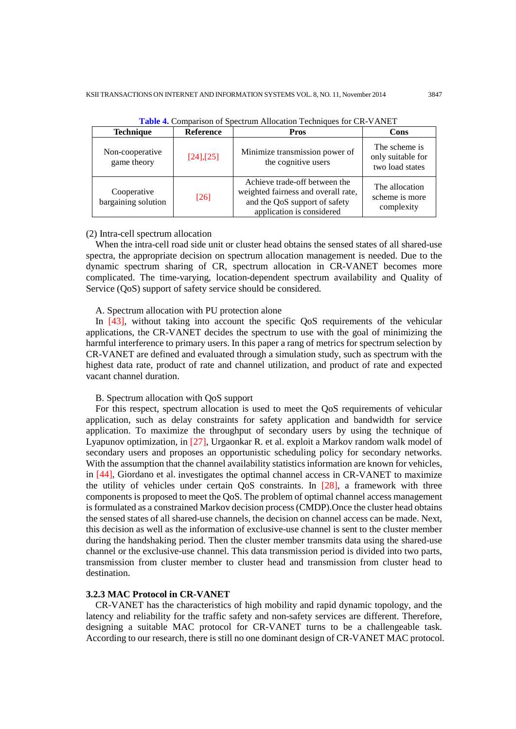| <b>Technique</b><br><b>Reference</b>         |                 | Pros                                                                                                                               | Cons                                                  |
|----------------------------------------------|-----------------|------------------------------------------------------------------------------------------------------------------------------------|-------------------------------------------------------|
| Non-cooperative<br>game theory               | $[24]$ , $[25]$ | Minimize transmission power of<br>the cognitive users                                                                              | The scheme is<br>only suitable for<br>two load states |
| Cooperative<br>$[26]$<br>bargaining solution |                 | Achieve trade-off between the<br>weighted fairness and overall rate,<br>and the QoS support of safety<br>application is considered | The allocation<br>scheme is more<br>complexity        |

**Table 4.** Comparison of Spectrum Allocation Techniques for CR-VANET

#### (2) Intra-cell spectrum allocation

When the intra-cell road side unit or cluster head obtains the sensed states of all shared-use spectra, the appropriate decision on spectrum allocation management is needed. Due to the dynamic spectrum sharing of CR, spectrum allocation in CR-VANET becomes more complicated. The time-varying, location-dependent spectrum availability and Quality of Service (QoS) support of safety service should be considered.

#### A. Spectrum allocation with PU protection alone

In [43], without taking into account the specific QoS requirements of the vehicular applications, the CR-VANET decides the spectrum to use with the goal of minimizing the harmful interference to primary users. In this paper a rang of metrics for spectrum selection by CR-VANET are defined and evaluated through a simulation study, such as spectrum with the highest data rate, product of rate and channel utilization, and product of rate and expected vacant channel duration.

## B. Spectrum allocation with QoS support

For this respect, spectrum allocation is used to meet the QoS requirements of vehicular application, such as delay constraints for safety application and bandwidth for service application. To maximize the throughput of secondary users by using the technique of Lyapunov optimization, in [27], Urgaonkar R. et al. exploit a Markov random walk model of secondary users and proposes an opportunistic scheduling policy for secondary networks. With the assumption that the channel availability statistics information are known for vehicles, in [44], Giordano et al. investigates the optimal channel access in CR-VANET to maximize the utility of vehicles under certain QoS constraints. In [28], a framework with three components is proposed to meet the QoS. The problem of optimal channel access management is formulated as a constrained Markov decision process (CMDP).Once the cluster head obtains the sensed states of all shared-use channels, the decision on channel access can be made. Next, this decision as well as the information of exclusive-use channel is sent to the cluster member during the handshaking period. Then the cluster member transmits data using the shared-use channel or the exclusive-use channel. This data transmission period is divided into two parts, transmission from cluster member to cluster head and transmission from cluster head to destination.

## **3.2.3 MAC Protocol in CR-VANET**

CR-VANET has the characteristics of high mobility and rapid dynamic topology, and the latency and reliability for the traffic safety and non-safety services are different. Therefore, designing a suitable MAC protocol for CR-VANET turns to be a challengeable task. According to our research, there is still no one dominant design of CR-VANET MAC protocol.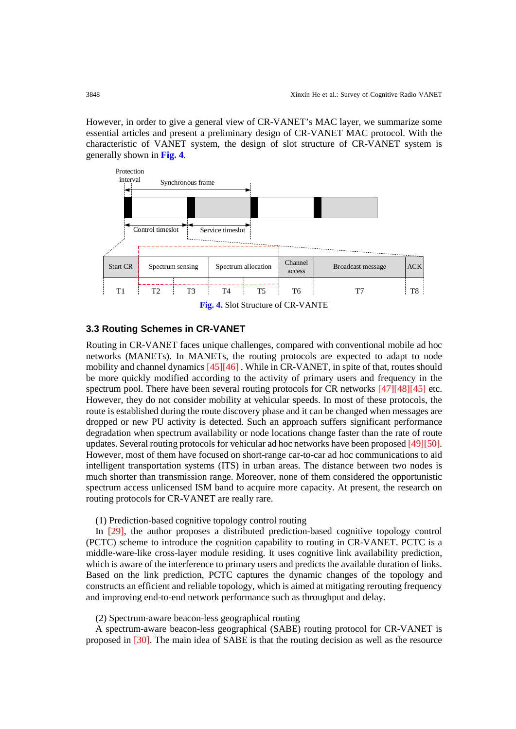However, in order to give a general view of CR-VANET's MAC layer, we summarize some essential articles and present a preliminary design of CR-VANET MAC protocol. With the characteristic of VANET system, the design of slot structure of CR-VANET system is generally shown in **Fig. 4**.



# **3.3 Routing Schemes in CR-VANET**

Routing in CR-VANET faces unique challenges, compared with conventional mobile ad hoc networks (MANETs). In MANETs, the routing protocols are expected to adapt to node mobility and channel dynamics [45][46] . While in CR-VANET, in spite of that, routes should be more quickly modified according to the activity of primary users and frequency in the spectrum pool. There have been several routing protocols for CR networks [47][48][45] etc. However, they do not consider mobility at vehicular speeds. In most of these protocols, the route is established during the route discovery phase and it can be changed when messages are dropped or new PU activity is detected. Such an approach suffers significant performance degradation when spectrum availability or node locations change faster than the rate of route updates. Several routing protocols for vehicular ad hoc networks have been proposed [49][50]. However, most of them have focused on short-range car-to-car ad hoc communications to aid intelligent transportation systems (ITS) in urban areas. The distance between two nodes is much shorter than transmission range. Moreover, none of them considered the opportunistic spectrum access unlicensed ISM band to acquire more capacity. At present, the research on routing protocols for CR-VANET are really rare.

# (1) Prediction-based cognitive topology control routing

In [29], the author proposes a distributed prediction-based cognitive topology control (PCTC) scheme to introduce the cognition capability to routing in CR-VANET. PCTC is a middle-ware-like cross-layer module residing. It uses cognitive link availability prediction, which is aware of the interference to primary users and predicts the available duration of links. Based on the link prediction, PCTC captures the dynamic changes of the topology and constructs an efficient and reliable topology, which is aimed at mitigating rerouting frequency and improving end-to-end network performance such as throughput and delay.

## (2) Spectrum-aware beacon-less geographical routing

A spectrum-aware beacon-less geographical (SABE) routing protocol for CR-VANET is proposed in [30]. The main idea of SABE is that the routing decision as well as the resource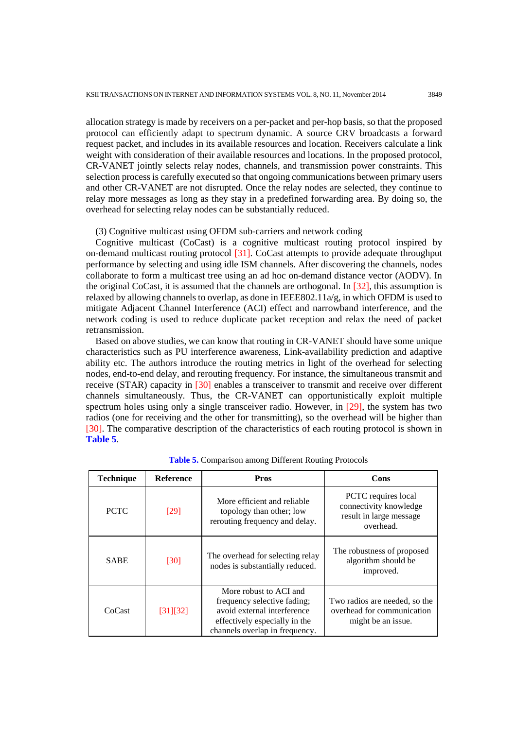allocation strategy is made by receivers on a per-packet and per-hop basis, so that the proposed protocol can efficiently adapt to spectrum dynamic. A source CRV broadcasts a forward request packet, and includes in its available resources and location. Receivers calculate a link weight with consideration of their available resources and locations. In the proposed protocol, CR-VANET jointly selects relay nodes, channels, and transmission power constraints. This selection process is carefully executed so that ongoing communications between primary users and other CR-VANET are not disrupted. Once the relay nodes are selected, they continue to relay more messages as long as they stay in a predefined forwarding area. By doing so, the overhead for selecting relay nodes can be substantially reduced.

#### (3) Cognitive multicast using OFDM sub-carriers and network coding

Cognitive multicast (CoCast) is a cognitive multicast routing protocol inspired by on-demand multicast routing protocol [31]. CoCast attempts to provide adequate throughput performance by selecting and using idle ISM channels. After discovering the channels, nodes collaborate to form a multicast tree using an ad hoc on-demand distance vector (AODV). In the original CoCast, it is assumed that the channels are orthogonal. In [32], this assumption is relaxed by allowing channels to overlap, as done in IEEE802.11 $a/g$ , in which OFDM is used to mitigate Adjacent Channel Interference (ACI) effect and narrowband interference, and the network coding is used to reduce duplicate packet reception and relax the need of packet retransmission.

Based on above studies, we can know that routing in CR-VANET should have some unique characteristics such as PU interference awareness, Link-availability prediction and adaptive ability etc. The authors introduce the routing metrics in light of the overhead for selecting nodes, end-to-end delay, and rerouting frequency. For instance, the simultaneous transmit and receive (STAR) capacity in [30] enables a transceiver to transmit and receive over different channels simultaneously. Thus, the CR-VANET can opportunistically exploit multiple spectrum holes using only a single transceiver radio. However, in [29], the system has two radios (one for receiving and the other for transmitting), so the overhead will be higher than [30]. The comparative description of the characteristics of each routing protocol is shown in **Table 5**.

| <b>Technique</b> | <b>Reference</b> | <b>Pros</b>                                                                                                                                             | Cons                                                                                  |
|------------------|------------------|---------------------------------------------------------------------------------------------------------------------------------------------------------|---------------------------------------------------------------------------------------|
| <b>PCTC</b>      | [29]             | More efficient and reliable<br>topology than other; low<br>rerouting frequency and delay.                                                               | PCTC requires local<br>connectivity knowledge<br>result in large message<br>overhead. |
| <b>SABE</b>      | [30]             | The overhead for selecting relay<br>nodes is substantially reduced.                                                                                     | The robustness of proposed<br>algorithm should be<br>improved.                        |
| CoCast           | [31][32]         | More robust to ACI and<br>frequency selective fading;<br>avoid external interference<br>effectively especially in the<br>channels overlap in frequency. | Two radios are needed, so the<br>overhead for communication<br>might be an issue.     |

**Table 5.** Comparison among Different Routing Protocols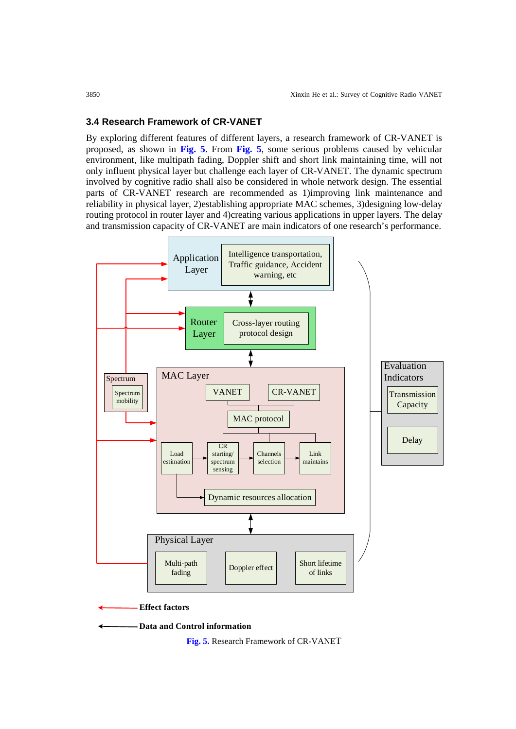## **3.4 Research Framework of CR-VANET**

By exploring different features of different layers, a research framework of CR-VANET is proposed, as shown in **Fig. 5**. From **Fig. 5**, some serious problems caused by vehicular environment, like multipath fading, Doppler shift and short link maintaining time, will not only influent physical layer but challenge each layer of CR-VANET. The dynamic spectrum involved by cognitive radio shall also be considered in whole network design. The essential parts of CR-VANET research are recommended as 1)improving link maintenance and reliability in physical layer, 2)establishing appropriate MAC schemes, 3)designing low-delay routing protocol in router layer and 4)creating various applications in upper layers. The delay and transmission capacity of CR-VANET are main indicators of one research's performance.



**Fig. 5.** Research Framework of CR-VANET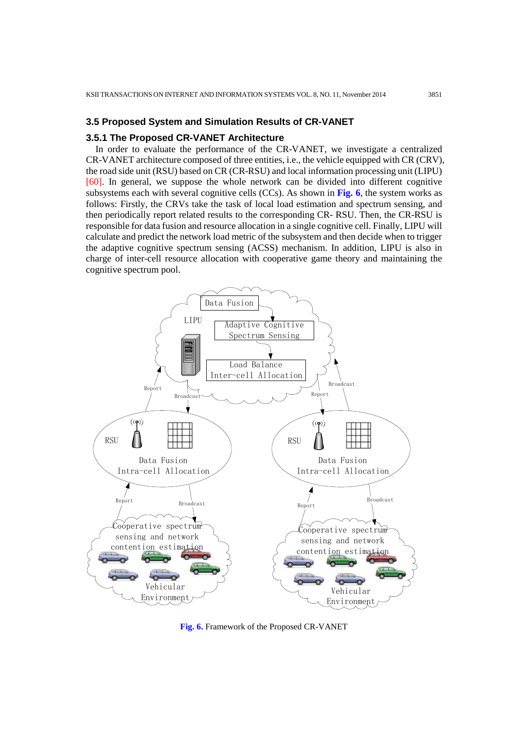#### **3.5 Proposed System and Simulation Results of CR-VANET**

#### **3.5.1 The Proposed CR-VANET Architecture**

In order to evaluate the performance of the CR-VANET, we investigate a centralized CR-VANET architecture composed of three entities, i.e., the vehicle equipped with CR (CRV), the road side unit (RSU) based on CR (CR-RSU) and local information processing unit (LIPU) [60]. In general, we suppose the whole network can be divided into different cognitive subsystems each with several cognitive cells (CCs). As shown in **Fig. 6**, the system works as follows: Firstly, the CRVs take the task of local load estimation and spectrum sensing, and then periodically report related results to the corresponding CR- RSU. Then, the CR-RSU is responsible for data fusion and resource allocation in a single cognitive cell. Finally, LIPU will calculate and predict the network load metric of the subsystem and then decide when to trigger the adaptive cognitive spectrum sensing (ACSS) mechanism. In addition, LIPU is also in charge of inter-cell resource allocation with cooperative game theory and maintaining the cognitive spectrum pool.



**Fig. 6.** Framework of the Proposed CR-VANET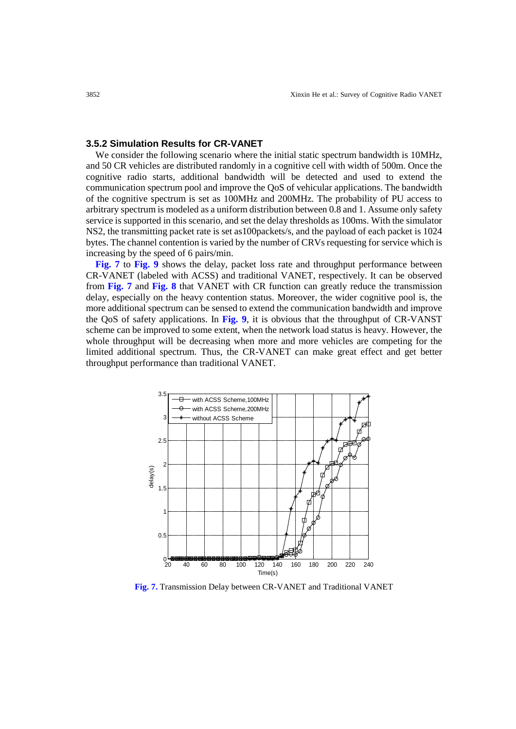## **3.5.2 Simulation Results for CR-VANET**

We consider the following scenario where the initial static spectrum bandwidth is 10MHz, and 50 CR vehicles are distributed randomly in a cognitive cell with width of 500m. Once the cognitive radio starts, additional bandwidth will be detected and used to extend the communication spectrum pool and improve the QoS of vehicular applications. The bandwidth of the cognitive spectrum is set as 100MHz and 200MHz. The probability of PU access to arbitrary spectrum is modeled as a uniform distribution between 0.8 and 1. Assume only safety service is supported in this scenario, and set the delay thresholds as 100ms. With the simulator NS2, the transmitting packet rate is set as100packets/s, and the payload of each packet is 1024 bytes. The channel contention is varied by the number of CRVs requesting for service which is increasing by the speed of 6 pairs/min.

 **Fig. 7** to **Fig. 9** shows the delay, packet loss rate and throughput performance between CR-VANET (labeled with ACSS) and traditional VANET, respectively. It can be observed from **Fig. 7** and **Fig. 8** that VANET with CR function can greatly reduce the transmission delay, especially on the heavy contention status. Moreover, the wider cognitive pool is, the more additional spectrum can be sensed to extend the communication bandwidth and improve the QoS of safety applications. In **Fig. 9**, it is obvious that the throughput of CR-VANST scheme can be improved to some extent, when the network load status is heavy. However, the whole throughput will be decreasing when more and more vehicles are competing for the limited additional spectrum. Thus, the CR-VANET can make great effect and get better throughput performance than traditional VANET.



**Fig. 7.** Transmission Delay between CR-VANET and Traditional VANET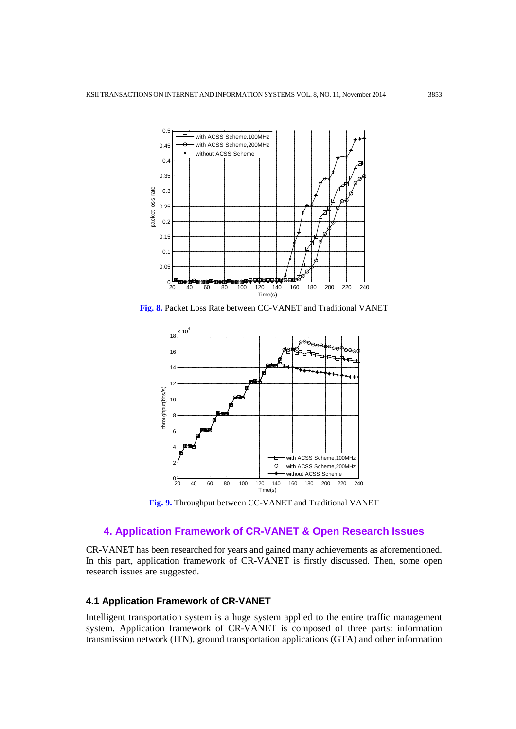

**Fig. 8.** Packet Loss Rate between CC-VANET and Traditional VANET



**Fig. 9.** Throughput between CC-VANET and Traditional VANET

# **4. Application Framework of CR-VANET & Open Research Issues**

CR-VANET has been researched for years and gained many achievements as aforementioned. In this part, application framework of CR-VANET is firstly discussed. Then, some open research issues are suggested.

# **4.1 Application Framework of CR-VANET**

Intelligent transportation system is a huge system applied to the entire traffic management system. Application framework of CR-VANET is composed of three parts: information transmission network (ITN), ground transportation applications (GTA) and other information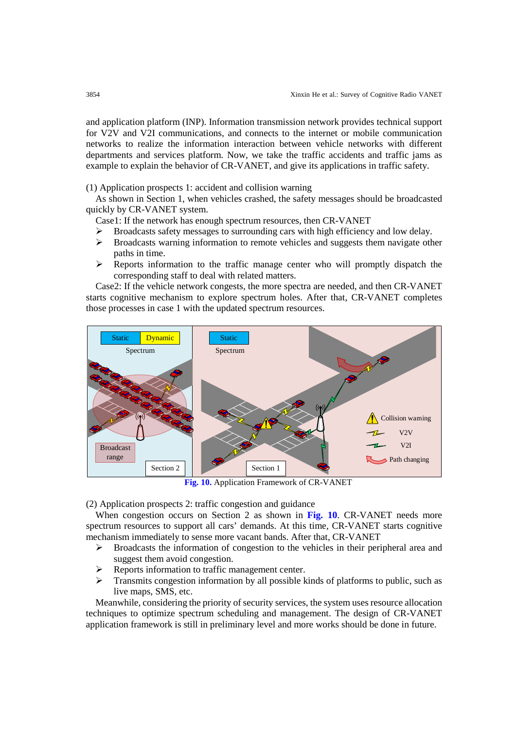and application platform (INP). Information transmission network provides technical support for V2V and V2I communications, and connects to the internet or mobile communication networks to realize the information interaction between vehicle networks with different departments and services platform. Now, we take the traffic accidents and traffic jams as example to explain the behavior of CR-VANET, and give its applications in traffic safety.

(1) Application prospects 1: accident and collision warning

As shown in Section 1, when vehicles crashed, the safety messages should be broadcasted quickly by CR-VANET system.

Case1: If the network has enough spectrum resources, then CR-VANET

- Broadcasts safety messages to surrounding cars with high efficiency and low delay.
- $\triangleright$  Broadcasts warning information to remote vehicles and suggests them navigate other paths in time.
- $\triangleright$  Reports information to the traffic manage center who will promptly dispatch the corresponding staff to deal with related matters.

Case2: If the vehicle network congests, the more spectra are needed, and then CR-VANET starts cognitive mechanism to explore spectrum holes. After that, CR-VANET completes those processes in case 1 with the updated spectrum resources.



**Fig. 10.** Application Framework of CR-VANET

(2) Application prospects 2: traffic congestion and guidance

When congestion occurs on Section 2 as shown in **Fig. 10**. CR-VANET needs more spectrum resources to support all cars' demands. At this time, CR-VANET starts cognitive mechanism immediately to sense more vacant bands. After that, CR-VANET

- $\triangleright$  Broadcasts the information of congestion to the vehicles in their peripheral area and suggest them avoid congestion.
- Reports information to traffic management center.
- $\triangleright$  Transmits congestion information by all possible kinds of platforms to public, such as live maps, SMS, etc.

Meanwhile, considering the priority of security services, the system uses resource allocation techniques to optimize spectrum scheduling and management. The design of CR-VANET application framework is still in preliminary level and more works should be done in future.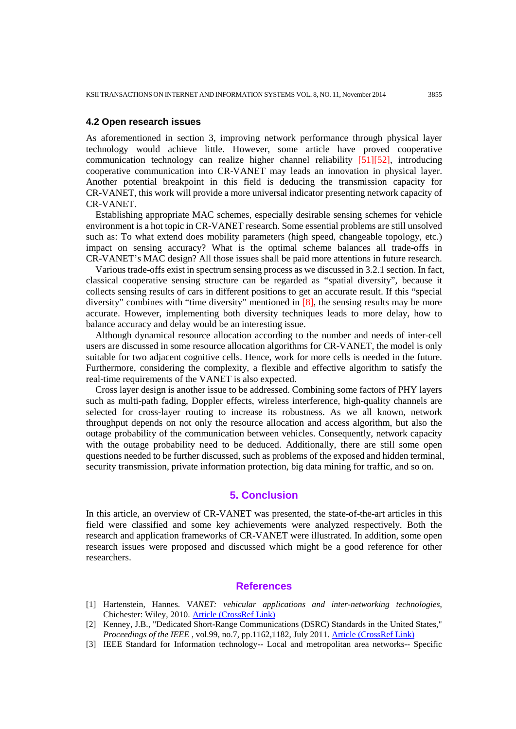#### **4.2 Open research issues**

As aforementioned in section 3, improving network performance through physical layer technology would achieve little. However, some article have proved cooperative communication technology can realize higher channel reliability [51][52], introducing cooperative communication into CR-VANET may leads an innovation in physical layer. Another potential breakpoint in this field is deducing the transmission capacity for CR-VANET, this work will provide a more universal indicator presenting network capacity of CR-VANET.

Establishing appropriate MAC schemes, especially desirable sensing schemes for vehicle environment is a hot topic in CR-VANET research. Some essential problems are still unsolved such as: To what extend does mobility parameters (high speed, changeable topology, etc.) impact on sensing accuracy? What is the optimal scheme balances all trade-offs in CR-VANET's MAC design? All those issues shall be paid more attentions in future research.

Various trade-offs exist in spectrum sensing process as we discussed in 3.2.1 section. In fact, classical cooperative sensing structure can be regarded as "spatial diversity", because it collects sensing results of cars in different positions to get an accurate result. If this "special diversity" combines with "time diversity" mentioned in [8], the sensing results may be more accurate. However, implementing both diversity techniques leads to more delay, how to balance accuracy and delay would be an interesting issue.

Although dynamical resource allocation according to the number and needs of inter-cell users are discussed in some resource allocation algorithms for CR-VANET, the model is only suitable for two adjacent cognitive cells. Hence, work for more cells is needed in the future. Furthermore, considering the complexity, a flexible and effective algorithm to satisfy the real-time requirements of the VANET is also expected.

Cross layer design is another issue to be addressed. Combining some factors of PHY layers such as multi-path fading, Doppler effects, wireless interference, high-quality channels are selected for cross-layer routing to increase its robustness. As we all known, network throughput depends on not only the resource allocation and access algorithm, but also the outage probability of the communication between vehicles. Consequently, network capacity with the outage probability need to be deduced. Additionally, there are still some open questions needed to be further discussed, such as problems of the exposed and hidden terminal, security transmission, private information protection, big data mining for traffic, and so on.

## **5. Conclusion**

In this article, an overview of CR-VANET was presented, the state-of-the-art articles in this field were classified and some key achievements were analyzed respectively. Both the research and application frameworks of CR-VANET were illustrated. In addition, some open research issues were proposed and discussed which might be a good reference for other researchers.

## **References**

- [1] Hartenstein, Hannes. V*ANET: vehicular applications and inter-networking technologies*, Chichester: Wiley, 2010. [Article \(CrossRef Link\)](http://dx.doi.org/10.1002/9780470740637)
- [2] Kenney, J.B., "Dedicated Short-Range Communications (DSRC) Standards in the United States," *Proceedings of the IEEE*, vol.99, no.7, pp.1162,1182, July 2011. [Article \(CrossRef Link\)](http://dx.doi.org/10.1109/JPROC.2011.2132790)
- [3] IEEE Standard for Information technology-- Local and metropolitan area networks-- Specific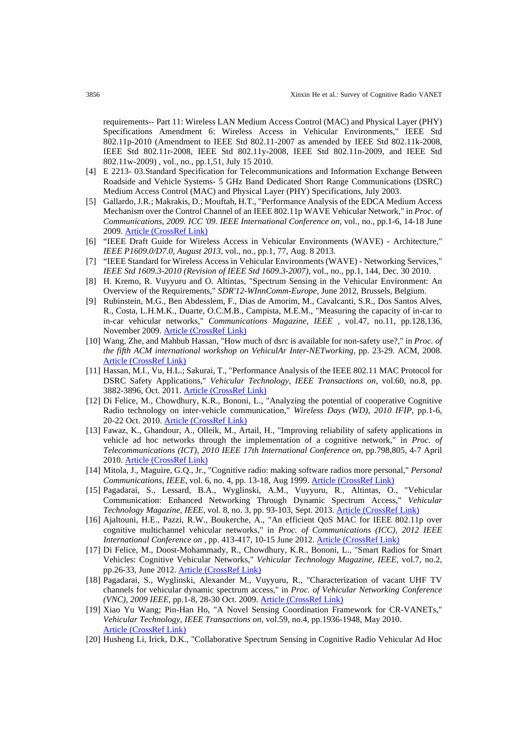requirements-- Part 11: Wireless LAN Medium Access Control (MAC) and Physical Layer (PHY) Specifications Amendment 6: Wireless Access in Vehicular Environments," IEEE Std 802.11p-2010 (Amendment to IEEE Std 802.11-2007 as amended by IEEE Std 802.11k-2008, IEEE Std 802.11r-2008, IEEE Std 802.11y-2008, IEEE Std 802.11n-2009, and IEEE Std 802.11w-2009) , vol., no., pp.1,51, July 15 2010.

- [4] E 2213- 03.Standard Specification for Telecommunications and Information Exchange Between Roadside and Vehicle Systems- 5 GHz Band Dedicated Short Range Communications (DSRC) Medium Access Control (MAC) and Physical Layer (PHY) Specifications, July 2003.
- [5] Gallardo, J.R.; Makrakis, D.; Mouftah, H.T., "Performance Analysis of the EDCA Medium Access Mechanism over the Control Channel of an IEEE 802.11p WAVE Vehicular Network," in *Proc. of Communications, 2009. ICC '09. IEEE International Conference on*, vol., no., pp.1-6, 14-18 June 2009. [Article \(CrossRef Link\)](http://dx.doi.org/10.1109/ICC.2009.5199316)
- [6] "IEEE Draft Guide for Wireless Access in Vehicular Environments (WAVE) Architecture," *IEEE P1609.0/D7.0, August 2013*, vol., no., pp.1, 77, Aug. 8 2013.
- [7] "IEEE Standard for Wireless Access in Vehicular Environments (WAVE) Networking Services," *IEEE Std 1609.3-2010 (Revision of IEEE Std 1609.3-2007)*, vol., no., pp.1, 144, Dec. 30 2010.
- [8] H. Kremo, R. Vuyyuru and O. Altintas, "Spectrum Sensing in the Vehicular Environment: An Overview of the Requirements," *SDR'12-WInnComm-Europe*, June 2012, Brussels, Belgium.
- [9] Rubinstein, M.G., Ben Abdesslem, F., Dias de Amorim, M., Cavalcanti, S.R., Dos Santos Alves, R., Costa, L.H.M.K., Duarte, O.C.M.B., Campista, M.E.M., "Measuring the capacity of in-car to in-car vehicular networks," *Communications Magazine, IEEE* , vol.47, no.11, pp.128,136, November 2009. [Article \(CrossRef Link\)](http://dx.doi.org/10.1109/MCOM.2009.5307476)
- [10] Wang, Zhe, and Mahbub Hassan, "How much of dsrc is available for non-safety use?," in *Proc. of the fifth ACM international workshop on VehiculAr Inter-NETworking*, pp. 23-29. ACM, 2008. [Article \(CrossRef Link\)](http://dx.doi.org/10.1145/1410043.1410049)
- [11] Hassan, M.I., Vu, H.L.; Sakurai, T., "Performance Analysis of the IEEE 802.11 MAC Protocol for DSRC Safety Applications," *Vehicular Technology, IEEE Transactions on*, vol.60, no.8, pp. 3882-3896, Oct. 2011. [Article \(CrossRef Link\)](http://dx.doi.org/10.1109/TVT.2011.2162755)
- [12] Di Felice, M., Chowdhury, K.R., Bononi, L., "Analyzing the potential of cooperative Cognitive Radio technology on inter-vehicle communication," *Wireless Days (WD), 2010 IFIP*, pp.1-6, 20-22 Oct. 2010. [Article \(CrossRef Link\)](http://dx.doi.org/10.1109/WD.2010.5657770)
- [13] Fawaz, K., Ghandour, A., Olleik, M., Artail, H., "Improving reliability of safety applications in vehicle ad hoc networks through the implementation of a cognitive network," in *Proc. of Telecommunications (ICT), 2010 IEEE 17th International Conference on*, pp.798,805, 4-7 April 2010. [Article \(CrossRef Link\)](http://dx.doi.org/10.1109/ICTEL.2010.5478817)
- [14] Mitola, J., Maguire, G.Q., Jr., "Cognitive radio: making software radios more personal," *Personal Communications, IEEE*, vol. 6, no. 4, pp. 13-18, Aug 1999. [Article \(CrossRef Link\)](http://dx.doi.org/10.1109/98.788210)
- [15] Pagadarai, S., Lessard, B.A., Wyglinski, A.M., Vuyyuru, R., Altintas, O., "Vehicular Communication: Enhanced Networking Through Dynamic Spectrum Access," *Vehicular*  Technology Magazine, IEEE, vol. 8, no. 3, pp. 93-103, Sept. 2013. [Article \(CrossRef Link\)](http://dx.doi.org/10.1109/MVT.2013.2268659)
- [16] Ajaltouni, H.E., Pazzi, R.W., Boukerche, A., "An efficient QoS MAC for IEEE 802.11p over cognitive multichannel vehicular networks," in *Proc. of Communications (ICC), 2012 IEEE International Conference on* , pp. 413-417, 10-15 June 2012. [Article \(CrossRef Link\)](http://dx.doi.org/10.1109/ICC.2012.6364353)
- [17] Di Felice, M., Doost-Mohammady, R., Chowdhury, K.R., Bononi, L., "Smart Radios for Smart Vehicles: Cognitive Vehicular Networks," *Vehicular Technology Magazine, IEEE*, vol.7, no.2, pp.26-33, June 2012. [Article \(CrossRef Link\)](http://dx.doi.org/10.1109/MVT.2012.2190177)
- [18] Pagadarai, S., Wyglinski, Alexander M., Vuyyuru, R., "Characterization of vacant UHF TV channels for vehicular dynamic spectrum access," in *Proc. of Vehicular Networking Conference (VNC), 2009 IEEE*, pp.1-8, 28-30 Oct. 2009. [Article \(CrossRef Link\)](http://dx.doi.org/10.1109/VNC.2009.5416371)
- [19] Xiao Yu Wang; Pin-Han Ho, "A Novel Sensing Coordination Framework for CR-VANETs," *Vehicular Technology, IEEE Transactions on*, vol.59, no.4, pp.1936-1948, May 2010. [Article \(CrossRef Link\)](http://dx.doi.org/10.1109/TVT.2009.2037641)
- [20] Husheng Li, Irick, D.K., "Collaborative Spectrum Sensing in Cognitive Radio Vehicular Ad Hoc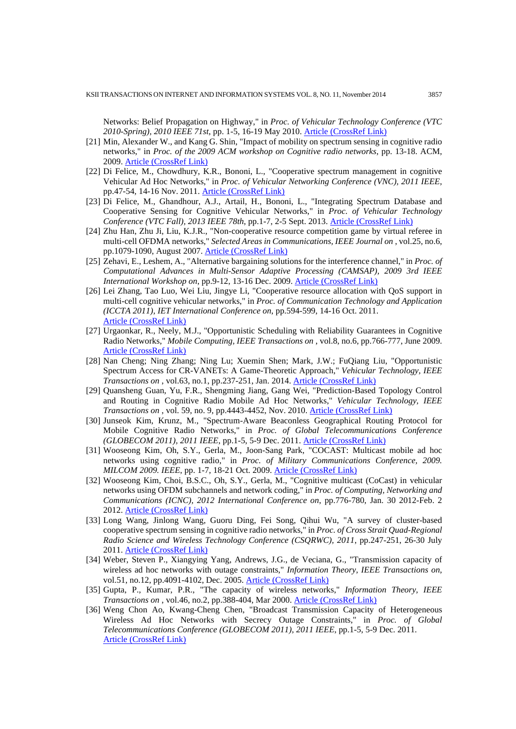Networks: Belief Propagation on Highway," in *Proc. of Vehicular Technology Conference (VTC 2010-Spring), 2010 IEEE 71st*, pp. 1-5, 16-19 May 2010. [Article \(CrossRef Link\)](http://dx.doi.org/10.1109/VETECS.2010.5494005)

- [21] Min, Alexander W., and Kang G. Shin, "Impact of mobility on spectrum sensing in cognitive radio networks," in *Proc. of the 2009 ACM workshop on Cognitive radio networks*, pp. 13-18. ACM, 2009. [Article \(CrossRef Link\)](http://dx.doi.org/10.1145/1614235.1614239)
- [22] Di Felice, M., Chowdhury, K.R., Bononi, L., "Cooperative spectrum management in cognitive Vehicular Ad Hoc Networks," in *Proc. of Vehicular Networking Conference (VNC), 2011 IEEE*, pp.47-54, 14-16 Nov. 2011. [Article \(CrossRef Link\)](http://dx.doi.org/10.1109/VNC.2011.6117123)
- [23] Di Felice, M., Ghandhour, A.J., Artail, H., Bononi, L., "Integrating Spectrum Database and Cooperative Sensing for Cognitive Vehicular Networks," in *Proc. of Vehicular Technology Conference (VTC Fall), 2013 IEEE 78th*, pp.1-7, 2-5 Sept. 2013. [Article \(CrossRef Link\)](http://dx.doi.org/10.1109/VTCFall.2013.6692244)
- [24] Zhu Han, Zhu Ji, Liu, K.J.R., "Non-cooperative resource competition game by virtual referee in multi-cell OFDMA networks," *Selected Areas in Communications, IEEE Journal on* , vol.25, no.6, pp.1079-1090, August 2007. [Article \(CrossRef Link\)](http://dx.doi.org/10.1109/JSAC.2007.070803)
- [25] Zehavi, E., Leshem, A., "Alternative bargaining solutions for the interference channel," in *Proc. of Computational Advances in Multi-Sensor Adaptive Processing (CAMSAP), 2009 3rd IEEE International Workshop on*, pp.9-12, 13-16 Dec. 2009. [Article \(CrossRef Link\)](http://dx.doi.org/10.1109/CAMSAP.2009.5413226)
- [26] Lei Zhang, Tao Luo, Wei Liu, Jingye Li, "Cooperative resource allocation with QoS support in multi-cell cognitive vehicular networks," in *Proc. of Communication Technology and Application (ICCTA 2011), IET International Conference on*, pp.594-599, 14-16 Oct. 2011. [Article \(CrossRef Link\)](http://dx.doi.org/10.1049/cp.2011.0737)
- [27] Urgaonkar, R., Neely, M.J., "Opportunistic Scheduling with Reliability Guarantees in Cognitive Radio Networks," *Mobile Computing, IEEE Transactions on* , vol.8, no.6, pp.766-777, June 2009. [Article \(CrossRef Link\)](http://dx.doi.org/10.1109/TMC.2009.38)
- [28] Nan Cheng; Ning Zhang; Ning Lu; Xuemin Shen; Mark, J.W.; FuQiang Liu, "Opportunistic Spectrum Access for CR-VANETs: A Game-Theoretic Approach," *Vehicular Technology, IEEE Transactions on*, vol.63, no.1, pp.237-251, Jan. 2014. **[Article \(CrossRef Link\)](http://dx.doi.org/10.1109/TVT.2013.2274201)**
- [29] Quansheng Guan, Yu, F.R., Shengming Jiang, Gang Wei, "Prediction-Based Topology Control and Routing in Cognitive Radio Mobile Ad Hoc Networks," *Vehicular Technology, IEEE Transactions on* , vol. 59, no. 9, pp.4443-4452, Nov. 2010. [Article \(CrossRef Link\)](http://dx.doi.org/10.1109/TVT.2010.2069105)
- [30] Junseok Kim, Krunz, M., "Spectrum-Aware Beaconless Geographical Routing Protocol for Mobile Cognitive Radio Networks," in *Proc. of Global Telecommunications Conference (GLOBECOM 2011), 2011 IEEE*, pp.1-5, 5-9 Dec. 2011. [Article \(CrossRef Link\)](http://dx.doi.org/10.1109/GLOCOM.2011.6134224)
- [31] Wooseong Kim, Oh, S.Y., Gerla, M., Joon-Sang Park, "COCAST: Multicast mobile ad hoc networks using cognitive radio," in *Proc. of Military Communications Conference, 2009. MILCOM 2009. IEEE*, pp. 1-7, 18-21 Oct. 2009. [Article \(CrossRef Link\)](http://dx.doi.org/10.1109/MILCOM.2009.5379883)
- [32] Wooseong Kim, Choi, B.S.C., Oh, S.Y., Gerla, M., "Cognitive multicast (CoCast) in vehicular networks using OFDM subchannels and network coding," in *Proc. of Computing, Networking and Communications (ICNC), 2012 International Conference on*, pp.776-780, Jan. 30 2012-Feb. 2 2012. [Article \(CrossRef Link\)](http://dx.doi.org/10.1109/ICCNC.2012.6167528)
- [33] Long Wang, Jinlong Wang, Guoru Ding, Fei Song, Qihui Wu, "A survey of cluster-based cooperative spectrum sensing in cognitive radio networks," in *Proc. of Cross Strait Quad-Regional Radio Science and Wireless Technology Conference (CSQRWC), 2011*, pp.247-251, 26-30 July 2011. [Article \(CrossRef Link\)](http://dx.doi.org/10.1109/CSQRWC.2011.6036931)
- [34] Weber, Steven P., Xiangying Yang, Andrews, J.G., de Veciana, G., "Transmission capacity of wireless ad hoc networks with outage constraints," *Information Theory, IEEE Transactions on*, vol.51, no.12, pp.4091-4102, Dec. 2005. [Article \(CrossRef Link\)](http://dx.doi.org/10.1109/TIT.2005.858939)
- [35] Gupta, P., Kumar, P.R., "The capacity of wireless networks," *Information Theory, IEEE Transactions on* , vol.46, no.2, pp.388-404, Mar 2000. [Article \(CrossRef Link\)](http://dx.doi.org/10.1109/18.825799)
- [36] Weng Chon Ao, Kwang-Cheng Chen, "Broadcast Transmission Capacity of Heterogeneous Wireless Ad Hoc Networks with Secrecy Outage Constraints," in *Proc. of Global Telecommunications Conference (GLOBECOM 2011), 2011 IEEE*, pp.1-5, 5-9 Dec. 2011. [Article \(CrossRef Link\)](http://dx.doi.org/10.1109/GLOCOM.2011.6133745)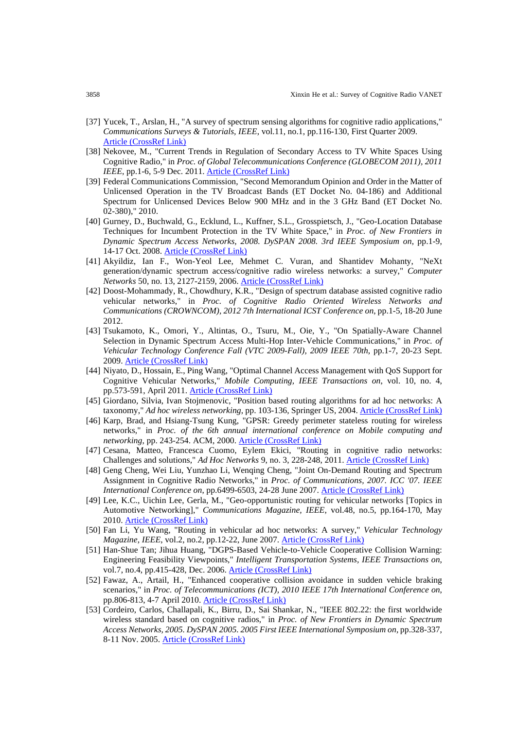- [37] Yucek, T., Arslan, H., "A survey of spectrum sensing algorithms for cognitive radio applications," *Communications Surveys & Tutorials, IEEE*, vol.11, no.1, pp.116-130, First Quarter 2009. [Article \(CrossRef Link\)](http://dx.doi.org/10.1109/SURV.2009.090109)
- [38] Nekovee, M., "Current Trends in Regulation of Secondary Access to TV White Spaces Using Cognitive Radio," in *Proc. of Global Telecommunications Conference (GLOBECOM 2011), 2011 IEEE*, pp.1-6, 5-9 Dec. 2011. **[Article \(CrossRef Link\)](http://dx.doi.org/10.1109/GLOCOM.2011.6134095)**
- [39] Federal Communications Commission, "Second Memorandum Opinion and Order in the Matter of Unlicensed Operation in the TV Broadcast Bands (ET Docket No. 04-186) and Additional Spectrum for Unlicensed Devices Below 900 MHz and in the 3 GHz Band (ET Docket No. 02-380)," 2010.
- [40] Gurney, D., Buchwald, G., Ecklund, L., Kuffner, S.L., Grosspietsch, J., "Geo-Location Database Techniques for Incumbent Protection in the TV White Space," in *Proc. of New Frontiers in Dynamic Spectrum Access Networks, 2008. DySPAN 2008. 3rd IEEE Symposium on*, pp.1-9, 14-17 Oct. 2008. [Article \(CrossRef Link\)](http://dx.doi.org/10.1109/DYSPAN.2008.31)
- [41] Akyildiz, Ian F., Won-Yeol Lee, Mehmet C. Vuran, and Shantidev Mohanty, "NeXt generation/dynamic spectrum access/cognitive radio wireless networks: a survey," *Computer Networks* 50, no. 13, 2127-2159, 2006. [Article \(CrossRef Link\)](http://dx.doi.org/10.1016/j.comnet.2006.05.001)
- [42] Doost-Mohammady, R., Chowdhury, K.R., "Design of spectrum database assisted cognitive radio vehicular networks," in *Proc. of Cognitive Radio Oriented Wireless Networks and Communications (CROWNCOM), 2012 7th International ICST Conference on*, pp.1-5, 18-20 June 2012.
- [43] Tsukamoto, K., Omori, Y., Altintas, O., Tsuru, M., Oie, Y., "On Spatially-Aware Channel Selection in Dynamic Spectrum Access Multi-Hop Inter-Vehicle Communications," in *Proc. of Vehicular Technology Conference Fall (VTC 2009-Fall), 2009 IEEE 70th*, pp.1-7, 20-23 Sept. 2009. [Article \(CrossRef Link\)](http://dx.doi.org/10.1109/VETECF.2009.5378887)
- [44] Niyato, D., Hossain, E., Ping Wang, "Optimal Channel Access Management with QoS Support for Cognitive Vehicular Networks," *Mobile Computing, IEEE Transactions on*, vol. 10, no. 4, pp.573-591, April 2011. [Article \(CrossRef Link\)](http://dx.doi.org/10.1109/TMC.2010.191)
- [45] Giordano, Silvia, Ivan Stojmenovic, "Position based routing algorithms for ad hoc networks: A taxonomy," *Ad hoc wireless networking*, pp. 103-136, Springer US, 2004. [Article \(CrossRef Link\)](http://dx.doi.org/10.1007/978-1-4613-0223-0_4)
- [46] Karp, Brad, and Hsiang-Tsung Kung, "GPSR: Greedy perimeter stateless routing for wireless networks," in *Proc. of the 6th annual international conference on Mobile computing and networking*, pp. 243-254. ACM, 2000. [Article \(CrossRef Link\)](http://dx.doi.org/10.1145/345910.345953)
- [47] Cesana, Matteo, Francesca Cuomo, Eylem Ekici, "Routing in cognitive radio networks: Challenges and solutions," *Ad Hoc Networks* 9, no. 3, 228-248, 2011. [Article \(CrossRef Link\)](http://dx.doi.org/10.1016/j.adhoc.2010.06.009)
- [48] Geng Cheng, Wei Liu, Yunzhao Li, Wenqing Cheng, "Joint On-Demand Routing and Spectrum Assignment in Cognitive Radio Networks," in *Proc. of Communications, 2007. ICC '07. IEEE International Conference on*, pp.6499-6503, 24-28 June 2007. [Article \(CrossRef Link\)](http://dx.doi.org/10.1109/ICC.2007.1075)
- [49] Lee, K.C., Uichin Lee, Gerla, M., "Geo-opportunistic routing for vehicular networks [Topics in Automotive Networking]," *Communications Magazine, IEEE*, vol.48, no.5, pp.164-170, May 2010. [Article \(CrossRef Link\)](http://dx.doi.org/10.1109/MCOM.2010.5458378)
- [50] Fan Li, Yu Wang, "Routing in vehicular ad hoc networks: A survey," *Vehicular Technology Magazine, IEEE*, vol.2, no.2, pp.12-22, June 2007. **[Article \(CrossRef Link\)](http://dx.doi.org/10.1109/MVT.2007.912927)**
- [51] Han-Shue Tan; Jihua Huang, "DGPS-Based Vehicle-to-Vehicle Cooperative Collision Warning: Engineering Feasibility Viewpoints," *Intelligent Transportation Systems, IEEE Transactions on*, vol.7, no.4, pp.415-428, Dec. 2006. **[Article \(CrossRef Link\)](http://dx.doi.org/10.1109/TITS.2006.883938)**
- [52] Fawaz, A., Artail, H., "Enhanced cooperative collision avoidance in sudden vehicle braking scenarios," in *Proc. of Telecommunications (ICT), 2010 IEEE 17th International Conference on*, pp.806-813, 4-7 April 2010. [Article \(CrossRef Link\)](http://dx.doi.org/10.1109/ICTEL.2010.5478818)
- [53] Cordeiro, Carlos, Challapali, K., Birru, D., Sai Shankar, N., "IEEE 802.22: the first worldwide wireless standard based on cognitive radios," in *Proc. of New Frontiers in Dynamic Spectrum Access Networks, 2005. DySPAN 2005. 2005 First IEEE International Symposium on*, pp.328-337, 8-11 Nov. 2005. [Article \(CrossRef Link\)](http://dx.doi.org/10.1109/DYSPAN.2005.1542649)